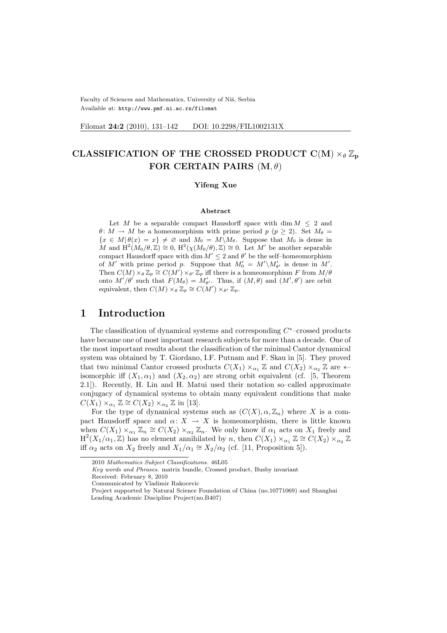Faculty of Sciences and Mathematics, University of Niš, Serbia Available at: http://www.pmf.ni.ac.rs/filomat

Filomat 24:2 (2010), 131-142 DOI: 10.2298/FIL1002131X

# CLASSIFICATION OF THE CROSSED PRODUCT C(M)  $\times_{\theta} \mathbb{Z}_{p}$ FOR CERTAIN PAIRS  $(M, \theta)$

#### Yifeng Xue

#### Abstract

Let M be a separable compact Hausdorff space with dim  $M \leq 2$  and  $\theta: M \to M$  be a homeomorphism with prime period  $p$  ( $p \geq 2$ ). Set  $M_{\theta} =$  ${x \in M | \theta(x) = x} \neq \emptyset$  and  $M_0 = M \backslash M_\theta$ . Suppose that  $M_0$  is dense in M and  $H^2(M_0/\theta,\mathbb{Z})\cong 0$ ,  $H^2(\chi(M_0/\theta),\mathbb{Z})\cong 0$ . Let M' be another separable compact Hausdorff space with dim  $M' \leq 2$  and  $\theta'$  be the self-homeomorphism of M' with prime period p. Suppose that  $M'_0 = M' \setminus M'_{\theta'}$  is dense in M'. Then  $C(M) \times_{\theta} {\mathbb Z}_p \cong C(M') \times_{\theta'} {\mathbb Z}_p$  iff there is a homeomorphism F from  $M/\theta$ onto  $M'/\theta'$  such that  $F(M_{\theta}) = M'_{\theta'}$ . Thus, if  $(M, \theta)$  and  $(M', \theta')$  are orbit equivalent, then  $C(M) \times_{\theta} {\mathbb{Z}}_p \cong C(M') \times_{\theta'} {\mathbb{Z}}_p$ .

## 1 Introduction

The classification of dynamical systems and corresponding  $C^*$ -crossed products have became one of most important research subjects for more than a decade. One of the most important results about the classification of the minimal Cantor dynamical system was obtained by T. Giordano, I.F. Putnam and F. Skau in [5]. They proved that two minimal Cantor crossed products  $C(X_1) \times_{\alpha_1} \mathbb{Z}$  and  $C(X_2) \times_{\alpha_2} \mathbb{Z}$  are  $*$ isomorphic iff  $(X_1, \alpha_1)$  and  $(X_2, \alpha_2)$  are strong orbit equivalent (cf. [5, Theorem 2.1]). Recently, H. Lin and H. Matui used their notation so–called approximate conjugacy of dynamical systems to obtain many equivalent conditions that make  $C(X_1) \times_{\alpha_1} \mathbb{Z} \cong C(X_2) \times_{\alpha_2} \mathbb{Z}$  in [13].

For the type of dynamical systems such as  $(C(X), \alpha, \mathbb{Z}_n)$  where X is a compact Hausdorff space and  $\alpha: X \to X$  is homeomorphism, there is little known when  $C(X_1) \times_{\alpha_1} \mathbb{Z}_n \cong C(X_2) \times_{\alpha_2} \mathbb{Z}_n$ . We only know if  $\alpha_1$  acts on  $X_1$  freely and  $\text{H}^2(X_1/\alpha_1,\mathbb{Z})$  has no element annihilated by n, then  $C(X_1)\times_{\alpha_1}\mathbb{Z}\cong C(X_2)\times_{\alpha_2}\mathbb{Z}$ iff  $\alpha_2$  acts on  $X_2$  freely and  $X_1/\alpha_1 \cong X_2/\alpha_2$  (cf. [11, Proposition 5]).

<sup>2010</sup> Mathematics Subject Classifications. 46L05

Key words and Phrases. matrix bundle, Crossed product, Busby invariant

Received: February 8, 2010

Communicated by Vladimir Rakocevic

Project supported by Natural Science Foundation of China (no.10771069) and Shanghai Leading Academic Discipline Project(no.B407)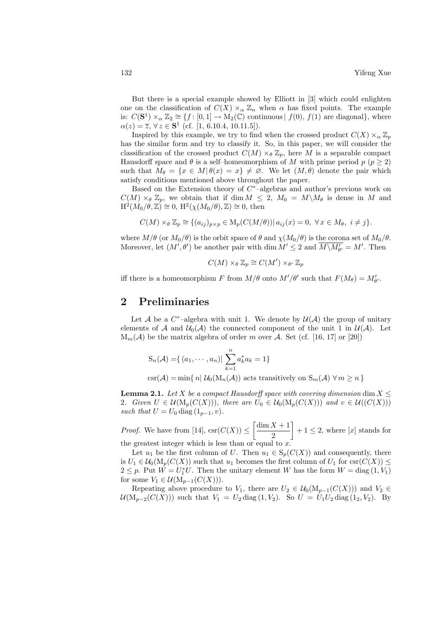But there is a special example showed by Elliott in [3] which could enlighten one on the classification of  $C(X) \times_{\alpha} \mathbb{Z}_n$  when  $\alpha$  has fixed points. The example is:  $C(\mathbf{S}^1) \times_{\alpha} \mathbb{Z}_2 \cong \{f : [0,1] \to M_2(\mathbb{C}) \text{ continuous} \mid f(0), f(1) \text{ are diagonal}\},\$  where  $\alpha(z) = \overline{z}, \forall z \in \mathbf{S}^1 \text{ (cf. [1, 6.10.4, 10.11.5])}.$ 

Inspired by this example, we try to find when the crossed product  $C(X) \times_{\alpha} \mathbb{Z}_p$ has the similar form and try to classify it. So, in this paper, we will consider the classification of the crossed product  $C(M) \times_{\theta} \mathbb{Z}_p$ , here M is a separable compact Hausdorff space and  $\theta$  is a self-homeomorphism of M with prime period  $p$  ( $p \ge 2$ ) such that  $M_{\theta} = \{x \in M | \theta(x) = x\} \neq \emptyset$ . We let  $(M, \theta)$  denote the pair which satisfy conditions mentioned above throughout the paper.

Based on the Extension theory of  $C^*$ -algebras and author's previous work on  $C(M) \times_{\theta} \mathbb{Z}_p$ , we obtain that if dim  $M \leq 2$ ,  $M_0 = M \backslash M_{\theta}$  is dense in M and  $H^2(M_0/\theta,\mathbb{Z})\cong 0, H^2(\chi(M_0/\theta),\mathbb{Z})\cong 0$ , then

$$
C(M) \times_{\theta} \mathbb{Z}_p \cong \{ (a_{ij})_{p \times p} \in M_p(C(M/\theta)) | a_{ij}(x) = 0, \ \forall x \in M_\theta, \ i \neq j \}.
$$

where  $M/\theta$  (or  $M_0/\theta$ ) is the orbit space of  $\theta$  and  $\chi(M_0/\theta)$  is the corona set of  $M_0/\theta$ . Moreover, let  $(M', \theta')$  be another pair with dim  $M' \leq 2$  and  $\overline{M \setminus M_{\theta'}} = M'$ . Then

$$
C(M) \times_{\theta} \mathbb{Z}_p \cong C(M') \times_{\theta'} \mathbb{Z}_p
$$

iff there is a homeomorphism F from  $M/\theta$  onto  $M'/\theta'$  such that  $F(M_{\theta}) = M'_{\theta'}$ .

## 2 Preliminaries

Let A be a  $C^*$ -algebra with unit 1. We denote by  $\mathcal{U}(\mathcal{A})$  the group of unitary elements of A and  $\mathcal{U}_0(\mathcal{A})$  the connected component of the unit 1 in  $\mathcal{U}(\mathcal{A})$ . Let  $M_m(\mathcal{A})$  be the matrix algebra of order m over  $\mathcal{A}$ . Set (cf. [16, 17] or [20])

$$
S_n(\mathcal{A}) = \{ (a_1, \cdots, a_n) | \sum_{k=1}^n a_k^* a_k = 1 \}
$$

csr(A) = min{ n|  $\mathcal{U}_0(\mathbf{M}_n(\mathcal{A}))$  acts transitively on  $\mathbf{S}_m(\mathcal{A}) \ \forall m \geq n$  }

**Lemma 2.1.** Let X be a compact Hausdorff space with covering dimension dim  $X \leq$ 2. Given  $U \in \mathcal{U}(\mathrm{M}_p(C(X)))$ , there are  $U_0 \in \mathcal{U}_0(\mathrm{M}_p(C(X)))$  and  $v \in \mathcal{U}((C(X)))$ such that  $U = U_0 \text{ diag } (1_{p-1}, v)$ .

*Proof.* We have from [14],  $\operatorname{csr}(C(X)) \leq$  $\int \dim X + 1$ 2  $\overline{a}$  $+ 1 \leq 2$ , where [x] stands for the greatest integer which is less than or equal to x.

Let  $u_1$  be the first column of U. Then  $u_1 \in S_p(C(X))$  and consequently, there is  $U_1 \in \mathcal{U}_0(\mathrm{M}_p(C(X))$  such that  $u_1$  becomes the first column of  $U_1$  for  $csc(C(X)) \leq$  $2 \leq p$ . Put  $\overline{W} = U_1^* U$ . Then the unitary element W has the form  $W = \text{diag}(1, V_1)$ for some  $V_1 \in \mathcal{U}(\mathrm{M}_{p-1}(C(X))).$ 

Repeating above procedure to  $V_1$ , there are  $U_2 \in \mathcal{U}_0(\mathrm{M}_{p-1}(C(X)))$  and  $V_2 \in$  $\mathcal{U}(M_{p-2}(C(X)))$  such that  $V_1 = U_2 \text{ diag}(1, V_2)$ . So  $U = U_1 U_2 \text{ diag}(1_2, V_2)$ . By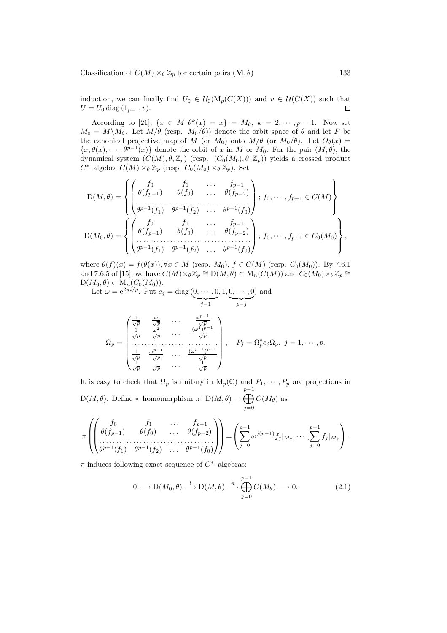Classification of  $C(M) \times_{\theta} \mathbb{Z}_p$  for certain pairs  $(\mathbf{M}, \theta)$  133

induction, we can finally find  $U_0 \in \mathcal{U}_0(\mathrm{M}_p(C(X)))$  and  $v \in \mathcal{U}(C(X))$  such that  $U = U_0 \text{ diag } (1_{p-1}, v).$  $\Box$ 

According to [21],  $\{x \in M | \theta^k(x) = x\} = M_\theta, k = 2, \dots, p-1$ . Now set  $M_0 = M \backslash M_\theta$ . Let  $M/\theta$  (resp.  $M_0/\theta$ )) denote the orbit space of  $\theta$  and let P be the canonical projective map of M (or  $M_0$ ) onto  $M/\theta$  (or  $M_0/\theta$ ). Let  $O_\theta(x)$  =  $\{x,\theta(x),\cdots,\theta^{p-1}(x)\}\$  denote the orbit of x in M or  $M_0$ . For the pair  $(M,\theta)$ , the dynamical system  $(C(M), \theta, \mathbb{Z}_p)$  (resp.  $(C_0(M_0), \theta, \mathbb{Z}_p)$ ) yields a crossed product  $C^*$ -algebra  $C(M) \times_{\theta} \mathbb{Z}_p$  (resp.  $C_0(M_0) \times_{\theta} \mathbb{Z}_p$ ). Set

$$
D(M,\theta) = \left\{ \begin{pmatrix} f_0 & f_1 & \dots & f_{p-1} \\ \theta(f_{p-1}) & \theta(f_0) & \dots & \theta(f_{p-2}) \\ \vdots & \vdots & \ddots & \vdots \\ \theta^{p-1}(f_1) & \theta^{p-1}(f_2) & \dots & \theta^{p-1}(f_0) \end{pmatrix} ; f_0, \dots, f_{p-1} \in C(M) \right\}
$$
  

$$
D(M_0, \theta) = \left\{ \begin{pmatrix} f_0 & f_1 & \dots & f_{p-1} \\ \theta(f_{p-1}) & \theta(f_0) & \dots & \theta(f_{p-2}) \\ \vdots & \vdots & \ddots & \vdots \\ \theta^{p-1}(f_1) & \theta^{p-1}(f_2) & \dots & \theta^{p-1}(f_0) \end{pmatrix} ; f_0, \dots, f_{p-1} \in C_0(M_0) \right\},
$$

where  $\theta(f)(x) = f(\theta(x))$ ,  $\forall x \in M$  (resp.  $M_0$ ),  $f \in C(M)$  (resp.  $C_0(M_0)$ ). By 7.6.1 and 7.6.5 of [15], we have  $C(M) \times \partial\mathbb{Z}_p \cong D(M, \theta) \subset M_n(C(M))$  and  $C_0(M_0) \times \partial\mathbb{Z}_p \cong$  $D(M_0, \theta) \subset M_n(C_0(M_0)).$ 

Let  $\omega = e^{2\pi i/p}$ . Put  $e_j = \text{diag}(\underbrace{0, \cdots, 0}_{j \in \mathbb{Z}})$  $j-1$  $, 1, 0, \cdots, 0$ p−j ) and

$$
\Omega_p = \begin{pmatrix}\n\frac{1}{\sqrt{p}} & \frac{\omega}{\sqrt{p}} & \cdots & \frac{\omega^{p-1}}{\sqrt{p}} \\
\frac{1}{\sqrt{p}} & \frac{\omega^2}{\sqrt{p}} & \cdots & \frac{(\omega^2)^{p-1}}{\sqrt{p}} \\
\cdots & \cdots & \cdots & \cdots \\
\frac{1}{\sqrt{p}} & \frac{\omega^{p-1}}{\sqrt{p}} & \cdots & \frac{(\omega^{p-1})^{p-1}}{\sqrt{p}}\n\end{pmatrix}, \quad P_j = \Omega_p^* e_j \Omega_p, \ j = 1, \cdots, p.
$$

It is easy to check that  $\Omega_p$  is unitary in  $M_p(\mathbb{C})$  and  $P_1, \cdots, P_p$  are projections in  $D(M, \theta)$ . Define \*-homomorphism  $\pi : D(M, \theta) \rightarrow$  $\sum_{n=1}^{p-1}$  $j=0$  $C(M_{\theta})$  as

$$
\pi\left(\begin{pmatrix}f_0 & f_1 & \cdots & f_{p-1} \\ \theta(f_{p-1}) & \theta(f_0) & \cdots & \theta(f_{p-2}) \\ \vdots & \vdots & \ddots & \vdots \\ \theta^{p-1}(f_1) & \theta^{p-1}(f_2) & \cdots & \theta^{p-1}(f_0)\end{pmatrix}\right) = \left(\sum_{j=0}^{p-1} \omega^{j(p-1)} f_j|_{M_{\theta}}, \cdots, \sum_{j=0}^{p-1} f_j|_{M_{\theta}}\right).
$$

 $\pi$  induces following exact sequence of  $C^*$ -algebras:

$$
0 \longrightarrow D(M_0, \theta) \xrightarrow{l} D(M, \theta) \xrightarrow{\pi} \bigoplus_{j=0}^{p-1} C(M_\theta) \longrightarrow 0. \tag{2.1}
$$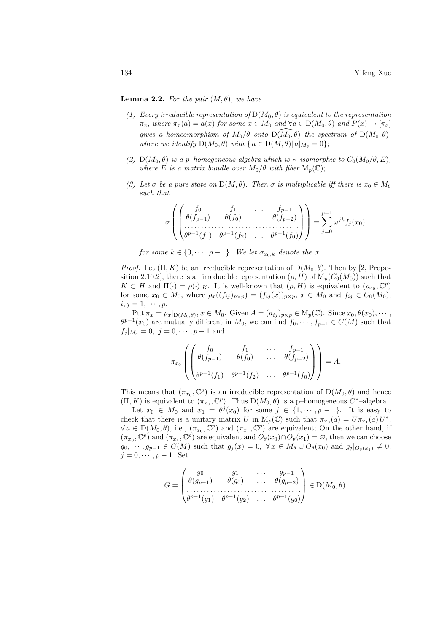**Lemma 2.2.** For the pair  $(M, \theta)$ , we have

- (1) Every irreducible representation of  $D(M_0, \theta)$  is equivalent to the representation  $\pi_x$ , where  $\pi_x(a) = a(x)$  for some  $x \in M_0$  and  $\forall a \in D(M_0, \theta)$  and  $P(x) \to [\pi_x]$ gives a homeomorphism of  $M_0/\theta$  onto  $\widetilde{D(M_0, \theta)}$ –the spectrum of  $D(M_0, \theta)$ , where we identify  $D(M_0, \theta)$  with  $\{a \in D(M, \theta) | a|_{M_{\theta}} = 0\};$
- (2)  $D(M_0, \theta)$  is a p–homogeneous algebra which is \*–isomorphic to  $C_0(M_0/\theta, E)$ , where E is a matrix bundle over  $M_0/\theta$  with fiber  $M_n(\mathbb{C});$
- (3) Let  $\sigma$  be a pure state on  $D(M, \theta)$ . Then  $\sigma$  is multiplicable iff there is  $x_0 \in M_\theta$ such that

$$
\sigma\left(\begin{pmatrix}f_0 & f_1 & \cdots & f_{p-1} \\ \theta(f_{p-1}) & \theta(f_0) & \cdots & \theta(f_{p-2}) \\ \cdots & \cdots & \cdots & \cdots & \cdots \\ \theta^{p-1}(f_1) & \theta^{p-1}(f_2) & \cdots & \theta^{p-1}(f_0)\end{pmatrix}\right) = \sum_{j=0}^{p-1} \omega^{jk} f_j(x_0)
$$

for some  $k \in \{0, \dots, p-1\}$ . We let  $\sigma_{x_0,k}$  denote the  $\sigma$ .

*Proof.* Let  $(\Pi, K)$  be an irreducible representation of  $D(M_0, \theta)$ . Then by [2, Proposition 2.10.2], there is an irreducible representation  $(\rho, H)$  of  $M_p(C_0(M_0))$  such that  $K \subset H$  and  $\Pi(\cdot) = \rho(\cdot)|_K$ . It is well-known that  $(\rho, H)$  is equivalent to  $(\rho_{x_0}, \mathbb{C}^p)$ for some  $x_0 \in M_0$ , where  $\rho_x((f_{ij})_{p\times p}) = (f_{ij}(x))_{p\times p}$ ,  $x \in M_0$  and  $f_{ij} \in C_0(M_0)$ ,  $i, j = 1, \cdots, p.$ 

Put  $\pi_x = \rho_x|_{D(M_0, \theta)}, x \in M_0$ . Given  $A = (a_{ij})_{p \times p} \in M_p(\mathbb{C})$ . Since  $x_0, \theta(x_0), \cdots$ ,  $\theta^{p-1}(x_0)$  are mutually different in  $M_0$ , we can find  $f_0, \cdots, f_{p-1} \in C(M)$  such that  $f_j |_{M_\theta} = 0, \ j = 0, \cdots, p-1$  and

$$
\pi_{x_0}\left(\begin{pmatrix}f_0 & f_1 & \dots & f_{p-1} \\ \theta(f_{p-1}) & \theta(f_0) & \dots & \theta(f_{p-2}) \\ \dots & \dots & \dots & \dots \\ \theta^{p-1}(f_1) & \theta^{p-1}(f_2) & \dots & \theta^{p-1}(f_0)\end{pmatrix}\right) = A.
$$

This means that  $(\pi_{x_0}, \mathbb{C}^p)$  is an irreducible representation of  $D(M_0, \theta)$  and hence  $(\Pi, K)$  is equivalent to  $(\pi_{x_0}, \mathbb{C}^p)$ . Thus  $D(M_0, \theta)$  is a p-homogeneous  $C^*$ -algebra.

Let  $x_0 \in M_0$  and  $x_1 = \theta^j(x_0)$  for some  $j \in \{1, \dots, p-1\}$ . It is easy to check that there is a unitary matrix U in  $M_p(\mathbb{C})$  such that  $\pi_{x_0}(a) = U \pi_{x_1}(a) U^*$ ,  $\forall a \in D(M_0, \theta)$ , i.e.,  $(\pi_{x_0}, \mathbb{C}^p)$  and  $(\pi_{x_1}, \mathbb{C}^p)$  are equivalent; On the other hand, if  $(\pi_{x_0}, \mathbb{C}^p)$  and  $(\pi_{x_1}, \mathbb{C}^p)$  are equivalent and  $O_\theta(x_0) \cap O_\theta(x_1) = \emptyset$ , then we can choose  $g_0, \dots, g_{p-1} \in C(M)$  such that  $g_j(x) = 0, \forall x \in M_\theta \cup O_\theta(x_0)$  and  $g_j|_{O_\theta(x_1)} \neq 0$ ,  $j = 0, \cdots, p-1$ . Set

$$
G = \begin{pmatrix} g_0 & g_1 & \dots & g_{p-1} \\ \theta(g_{p-1}) & \theta(g_0) & \dots & \theta(g_{p-2}) \\ \dots & \dots & \dots & \dots & \dots \\ \theta^{p-1}(g_1) & \theta^{p-1}(g_2) & \dots & \theta^{p-1}(g_0) \end{pmatrix} \in D(M_0, \theta).
$$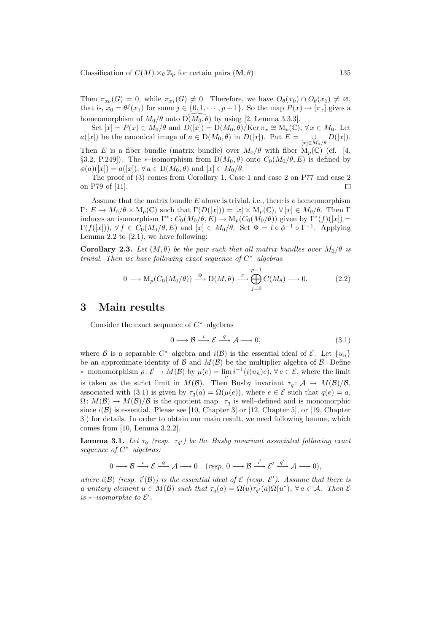Classification of  $C(M) \times_{\theta} \mathbb{Z}_p$  for certain pairs  $(M, \theta)$  135

Then  $\pi_{x_0}(G) = 0$ , while  $\pi_{x_1}(G) \neq 0$ . Therefore, we have  $O_\theta(x_0) \cap O_\theta(x_1) \neq \emptyset$ , that is,  $x_0 = \theta^j(x_1)$  for some  $j \in \{0, 1, \dots, p-1\}$ . So the map  $P(x) \mapsto [\pi_x]$  gives a homeomorphism of  $M_0/\theta$  onto  $\widetilde{D(M_0, \theta)}$  by using [2, Lemma 3.3.3].

Set  $[x] = P(x) \in M_0/\theta$  and  $D([x]) = D(M_0, \theta)/\text{Ker} \pi_x \cong M_p(\mathbb{C}), \forall x \in M_0$ . Let  $a([x])$  be the canonical image of  $a \in D(M_0, \theta)$  in  $D([x])$ . Put  $E =$  $\bigcup_{[x]\in M_0/\theta} D([x]).$ Then E is a fiber bundle (matrix bundle) over  $M_0/\theta$  with fiber  $M_p(\mathbb{C})$  (cf. [4, §3.2, P.249]). The \*-isomorphism from  $D(M_0, \theta)$  onto  $C_0(M_0/\theta, E)$  is defined by  $\phi(a)(x) = a(x)$ ,  $\forall a \in D(M_0, \theta)$  and  $[x] \in M_0/\theta$ .

The proof of (3) comes from Corollary 1, Case 1 and case 2 on P77 and case 2 on P79 of [11].  $\Box$ 

Assume that the matrix bundle  $E$  above is trivial, i.e., there is a homeomorphism  $\Gamma: E \to M_0/\theta \times M_p(\mathbb{C})$  such that  $\Gamma(D([x])) = [x] \times M_p(\mathbb{C}), \forall [x] \in M_0/\theta$ . Then  $\Gamma$ induces an isomorphism  $\Gamma^*: C_0(M_0/\theta, E) \to M_p(C_0(M_0/\theta))$  given by  $\Gamma^*(f)([x]) =$  $\Gamma(f([x])),\ \forall\ f\in C_0(M_0/\theta,E)\ \text{and}\ [x]\in M_0/\theta. \ \text{Set}\ \Phi=l\circ\phi^{-1}\circ\Gamma^{-1}. \ \text{ Applying}$ Lemma 2.2 to  $(2.1)$ , we have following:

**Corollary 2.3.** Let  $(M, \theta)$  be the pair such that all matrix bundles over  $M_0/\theta$  is trivial. Then we have following exact sequence of  $C^*$ -algebras

$$
0 \longrightarrow M_p(C_0(M_0/\theta)) \stackrel{\Phi}{\longrightarrow} D(M,\theta) \stackrel{\pi}{\longrightarrow} \bigoplus_{j=0}^{p-1} C(M_\theta) \longrightarrow 0.
$$
 (2.2)

### 3 Main results

Consider the exact sequence of  $C^*$ -algebras

$$
0 \longrightarrow \mathcal{B} \stackrel{i}{\longrightarrow} \mathcal{E} \stackrel{q}{\longrightarrow} \mathcal{A} \longrightarrow 0,
$$
\n(3.1)

where B is a separable C<sup>\*</sup>-algebra and  $i(\mathcal{B})$  is the essential ideal of E. Let  $\{u_n\}$ be an approximate identity of B and  $M(\mathcal{B})$  be the multiplier algebra of B. Define \*-monomorphism  $\rho: \mathcal{E} \to M(\mathcal{B})$  by  $\mu(e) = \lim_{n} i^{-1}(i(u_n)e), \forall e \in \mathcal{E}$ , where the limit is taken as the strict limit in  $M(\mathcal{B})$ . Then Busby invariant  $\tau_q: \mathcal{A} \to M(\mathcal{B})/\mathcal{B}$ , associated with (3.1) is given by  $\tau_q(a) = \Omega(\mu(e))$ , where  $e \in \mathcal{E}$  such that  $q(e) = a$ ,  $\Omega: M(\mathcal{B}) \to M(\mathcal{B})/\mathcal{B}$  is the quotient map.  $\tau_q$  is well-defined and is monomorphic since  $i(\mathcal{B})$  is essential. Please see [10, Chapter 3] or [12, Chapter 5], or [19, Chapter 3]) for details. In order to obtain our main result, we need following lemma, which comes from [10, Lemma 3.2.2].

**Lemma 3.1.** Let  $\tau_q$  (resp.  $\tau_{q'}$ ) be the Busby invariant associated following exact sequence of  $C^*$ -algebras:

$$
0\longrightarrow \mathcal{B}\stackrel{i}{\longrightarrow} \mathcal{E}\stackrel{q}{\longrightarrow} \mathcal{A}\longrightarrow 0 \quad (resp. \ 0\longrightarrow \mathcal{B}\stackrel{i'}{\longrightarrow} \mathcal{E}'\stackrel{q'}{\longrightarrow} \mathcal{A}\longrightarrow 0),
$$

where  $i(\mathcal{B})$  (resp.  $i'(\mathcal{B})$ ) is the essential ideal of  $\mathcal E$  (resp.  $\mathcal E'$ ). Assume that there is a unitary element  $u \in M(\mathcal{B})$  such that  $\tau_q(a) = \Omega(u)\tau_{q'}(a)\Omega(u^*), \forall a \in \mathcal{A}$ . Then  $\mathcal{E}$ is  $*-isomorphic$  to  $\mathcal{E}'$ .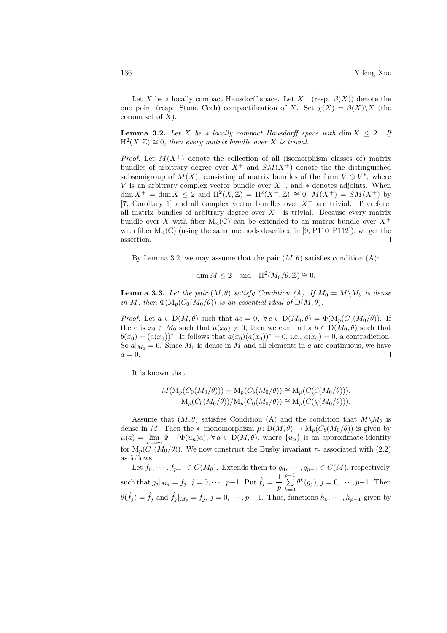Let X be a locally compact Hausdorff space. Let  $X^+$  (resp.  $\beta(X)$ ) denote the one–point (resp. Stone–Cěch) compactification of X. Set  $\chi(X) = \beta(X)\backslash X$  (the corona set of  $X$ ).

**Lemma 3.2.** Let X be a locally compact Hausdorff space with dim  $X \leq 2$ . If  $H<sup>2</sup>(X, Z) \cong 0$ , then every matrix bundle over X is trivial.

*Proof.* Let  $M(X^+)$  denote the collection of all (isomorphism classes of) matrix bundles of arbitrary degree over  $X^+$  and  $SM(X^+)$  denote the the distinguished subsemigroup of  $M(X)$ , consisting of matrix bundles of the form  $V \otimes V^*$ , where V is an arbitrary complex vector bundle over  $X^+$ , and  $*$  denotes adjoints. When  $\dim X^+ = \dim X \leq 2$  and  $H^2(X, \mathbb{Z}) = H^2(X^+, \mathbb{Z}) \cong 0$ ,  $M(X^+) = SM(X^+)$  by [7, Corollary 1] and all complex vector bundles over  $X^+$  are trivial. Therefore, all matrix bundles of arbitrary degree over  $X^+$  is trivial. Because every matrix bundle over X with fiber  $M_n(\mathbb{C})$  can be extended to an matrix bundle over  $X^+$ with fiber  $M_n(\mathbb{C})$  (using the same methods described in [9, P110–P112]), we get the assertion.  $\Box$ 

By Lemma 3.2, we may assume that the pair  $(M, \theta)$  satisfies condition (A):

$$
\dim M \le 2 \quad \text{and} \quad \mathrm{H}^2(M_0/\theta,\mathbb{Z}) \cong 0.
$$

**Lemma 3.3.** Let the pair  $(M, \theta)$  satisfy Condition (A). If  $M_0 = M \backslash M_\theta$  is dense in M, then  $\Phi(M_p(C_0(M_0/\theta))$  is an essential ideal of  $D(M, \theta)$ .

*Proof.* Let  $a \in D(M, \theta)$  such that  $ac = 0$ ,  $\forall c \in D(M_0, \theta) = \Phi(M_p(C_0(M_0/\theta))$ . If there is  $x_0 \in M_0$  such that  $a(x_0) \neq 0$ , then we can find a  $b \in D(M_0, \theta)$  such that  $b(x_0) = (a(x_0))^*$ . It follows that  $a(x_0)(a(x_0))^* = 0$ , i.e.,  $a(x_0) = 0$ , a contradiction. So  $a|_{M_0} = 0$ . Since  $M_0$  is dense in M and all elements in a are continuous, we have  $a=0.$  $\Box$ 

It is known that

$$
M(\mathcal{M}_p(C_0(M_0/\theta))) = \mathcal{M}_p(C_b(M_0/\theta)) \cong \mathcal{M}_p(C(\beta(M_0/\theta))),
$$
  
\n
$$
\mathcal{M}_p(C_b(M_0/\theta))/\mathcal{M}_p(C_0(M_0/\theta)) \cong \mathcal{M}_p(C(\chi(M_0/\theta))).
$$

Assume that  $(M, \theta)$  satisfies Condition (A) and the condition that  $M\setminus M_{\theta}$  is dense in M. Then the  $*$ –monomorphism  $\mu: D(M, \theta) \to M_p(C_b(M_0/\theta))$  is given by  $\mu(a) = \lim_{n \to \infty} \Phi^{-1}(\Phi(u_n)a), \forall a \in D(M, \theta),$  where  $\{u_n\}$  is an approximate identity for  $M_p(\widetilde{C}_0(\widetilde{M}_0/\theta))$ . We now construct the Busby invariant  $\tau_{\pi}$  associated with (2.2) as follows.

Let  $f_0, \dots, f_{p-1} \in C(M_\theta)$ . Extends them to  $g_0, \dots, g_{p-1} \in C(M)$ , respectively, such that  $g_j|_{M_\theta} = f_j$ ,  $j = 0, \cdots, p-1$ . Put  $\hat{f}_j = \frac{1}{n}$ p  $\frac{p-1}{p-1}$  $k=0$  $\theta^k(g_j), j = 0, \cdots, p-1$ . Then  $\theta(\hat{f}_j) = \hat{f}_j$  and  $\hat{f}_j|_{M_{\theta}} = f_j$ ,  $j = 0, \dots, p-1$ . Thus, functions  $h_0, \dots, h_{p-1}$  given by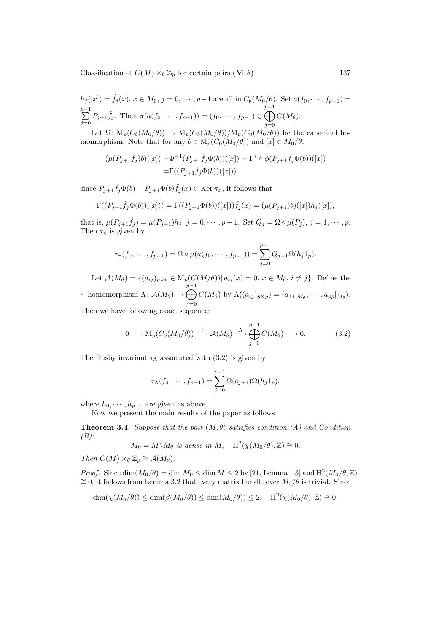Classification of  $C(M) \times_{\theta} \mathbb{Z}_p$  for certain pairs  $(\mathbf{M}, \theta)$  137

$$
h_j([x]) = \hat{f}_j(x), x \in M_0, j = 0, \dots, p-1 \text{ are all in } C_b(M_0/\theta). \text{ Set } a(f_0, \dots, f_{p-1}) = \sum_{j=0}^{p-1} P_{j+1} \hat{f}_j. \text{ Then } \pi(a(f_0, \dots, f_{p-1})) = (f_0, \dots, f_{p-1}) \in \bigoplus_{j=0}^{p-1} C(M_\theta).
$$

Let  $\Omega \colon M_p(C_b(M_0/\theta)) \to M_p(C_b(M_0/\theta))/M_p(C_0(M_0/\theta))$  be the canonical homomorphism. Note that for any  $b \in M_p(C_0(M_0/\theta))$  and  $[x] \in M_0/\theta$ ,

$$
(\mu(P_{j+1}\hat{f}_j)b)([x]) = \Phi^{-1}(P_{j+1}\hat{f}_j\Phi(b))([x]) = \Gamma^* \circ \phi(P_{j+1}\hat{f}_j\Phi(b))([x])
$$
  
=  $\Gamma((P_{j+1}\hat{f}_j\Phi(b))([x]))$ .

since  $P_{j+1} \hat{f}_j \Phi(b) - P_{j+1} \Phi(b) \hat{f}_j(x) \in \text{Ker } \pi_x$ , it follows that

$$
\Gamma((P_{j+1}\hat{f}_j\Phi(b))([x])) = \Gamma((P_{j+1}\Phi(b))([x]))\hat{f}_j(x) = (\mu(P_{j+1})b)([x])h_j([x]),
$$

that is,  $\mu(P_{j+1}\hat{f}_j) = \mu(P_{j+1})h_j$ ,  $j = 0, \dots, p-1$ . Set  $Q_j = \Omega \circ \mu(P_j)$ ,  $j = 1, \dots, p$ . Then  $\tau_{\pi}$  is given by

$$
\tau_{\pi}(f_0, \cdots, f_{p-1}) = \Omega \circ \mu(a(f_0, \cdots, f_{p-1})) = \sum_{j=0}^{p-1} Q_{j+1} \Omega(h_j 1_p).
$$

Let  $\mathcal{A}(M_{\theta}) = \{(a_{ij})_{p \times p} \in M_p(C(M/\theta)) | a_{ij}(x) = 0, x \in M_{\theta}, i \neq j\}.$  Define the \*–homomorphism  $\Lambda: \mathcal{A}(M_{\theta}) \rightarrow$  $\sum_{n=1}^{p-1}$  $j=0$  $C(M_{\theta})$  by  $\Lambda((a_{ij})_{p\times p})=(a_{11}|_{M_{\theta}},\cdots,a_{pp}|_{M_{\theta}}).$ 

Then we have following exact sequence:

$$
0 \longrightarrow M_p(C_0(M_0/\theta)) \stackrel{i}{\longrightarrow} \mathcal{A}(M_\theta) \stackrel{\Lambda}{\longrightarrow} \bigoplus_{j=0}^{p-1} C(M_\theta) \longrightarrow 0.
$$
 (3.2)

The Busby invariant  $\tau_{\Lambda}$  associated with (3.2) is given by

$$
\tau_{\Lambda}(f_0, \cdots, f_{p-1}) = \sum_{j=0}^{p-1} \Omega(e_{j+1}) \Omega(h_j 1_p),
$$

where  $h_0, \dots, h_{p-1}$  are given as above.

Now we present the main results of the paper as follows

**Theorem 3.4.** Suppose that the pair  $(M, \theta)$  satisfies condition (A) and Condition  $(B)$ :

$$
M_0 = M \backslash M_\theta
$$
 is dense in M,  $H^2(\chi(M_0/\theta), \mathbb{Z}) \cong 0$ .

Then  $C(M) \times_{\theta} \mathbb{Z}_p \cong \mathcal{A}(M_{\theta}).$ 

*Proof.* Since  $\dim(M_0/\theta) = \dim M_0 \leq \dim M \leq 2$  by [21, Lemma 1.3] and  $H^2(M_0/\theta, \mathbb{Z})$  $\cong$  0, it follows from Lemma 3.2 that every matrix bundle over  $M_0/\theta$  is trivial. Since

$$
\dim(\chi(M_0/\theta)) \le \dim(\beta(M_0/\theta)) \le \dim(M_0/\theta)) \le 2, \quad \mathrm{H}^2(\chi(M_0/\theta), \mathbb{Z}) \cong 0,
$$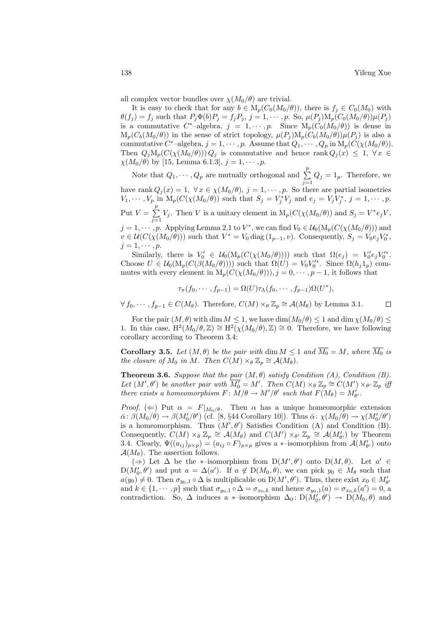all complex vector bundles over  $\chi(M_0/\theta)$  are trivial.

It is easy to check that for any  $b \in M_p(C_0(M_0/\theta))$ , there is  $f_j \in C_0(M_0)$  with  $\theta(f_j) = f_j$  such that  $P_j \Phi(b) P_j = f_j P_j$ ,  $j = 1, \dots, p$ . So,  $\mu(P_j) M_p(C_0(M_0/\theta)) \mu(P_j)$ is a commutative  $C^*$ -algebra,  $j = 1, \dots, p$ . Since  $M_p(C_0(M_0/\theta))$  is dense in  $M_p(C_b(M_0/\theta))$  in the sense of strict topology,  $\mu(P_i)M_p(C_b(M_0/\theta))\mu(P_i)$  is also a commutative  $C^*$ -algebra,  $j = 1, \cdots, p$ . Assume that  $Q_1, \cdots, Q_p$  in  $M_p(C(\chi(M_0/\theta)))$ . Then  $Q_jM_p(C(\chi(M_0/\theta)))Q_j$  is commutative and hence rank  $Q_j(x) \leq 1, \forall x \in$  $\chi(M_0/\theta)$  by [15, Lemma 6.1.3],  $j = 1, \dots, p$ .

Note that  $Q_1, \dots, Q_p$  are mutually orthogonal and  $\sum_{i=1}^{p} Q_i = 1_p$ . Therefore, we  $j=1$ have rank  $Q_j(x) = 1, \forall x \in \chi(M_0/\theta), j = 1, \cdots, p$ . So there are partial isometries  $V_1, \cdots, V_p$  in  $M_p(C(\chi(M_0/\theta))$  such that  $S_j = V_j^*V_j$  and  $e_j = V_jV_j^*, j = 1, \cdots, p$ . Put  $V = \sum_{i=1}^{p}$  $\sum_{j=1}^{n} V_j$ . Then V is a unitary element in  $M_p(C(\chi(M_0/\theta)))$  and  $S_j = V^*e_jV$ ,  $j = 1, \dots, p$ . Applying Lemma 2.1 to  $V^*$ , we can find  $V_0 \in \mathcal{U}_0(\mathrm{M}_p(C(\chi(M_0/\theta)))$  and  $v \in \mathcal{U}(C(\chi(M_0/\theta)))$  such that  $V^* = V_0 \text{ diag } (1_{p-1}, v)$ . Consequently,  $S_j = V_0 e_j V_0^*$ ,  $j=1,\cdots,p.$ 

Similarly, there is  $V'_0 \in \mathcal{U}_0(\mathrm{M}_p(C(\chi(M_0/\theta))))$  such that  $\Omega(e_j) = V'_0 e_j V'^*_0$ . Choose  $U \in \mathcal{U}_0(\mathrm{M}_p(C(\beta(M_0/\theta))))$  such that  $\Omega(U) = V_0 V_0'^*$ . Since  $\Omega(h_j 1_p)$  commutes with every element in  $M_p(C(\chi(M_0/\theta))), j = 0, \dots, p-1$ , it follows that

$$
\tau_{\pi}(f_0,\cdots,f_{p-1})=\Omega(U)\tau_{\Lambda}(f_0,\cdots,f_{p-1})\Omega(U^*),
$$

 $\forall f_0, \dots, f_{p-1} \in C(M_\theta)$ . Therefore,  $C(M) \times_{\theta} \mathbb{Z}_p \cong \mathcal{A}(M_\theta)$  by Lemma 3.1.  $\Box$ 

For the pair  $(M, \theta)$  with dim  $M \leq 1$ , we have  $\dim(M_0/\theta) \leq 1$  and  $\dim \chi(M_0/\theta) \leq 1$ 1. In this case,  $H^2(M_0/\theta,\mathbb{Z}) \cong H^2(\chi(M_0/\theta),\mathbb{Z}) \cong 0$ . Therefore, we have following corollary according to Theorem 3.4:

**Corollary 3.5.** Let  $(M, \theta)$  be the pair with dim  $M \leq 1$  and  $\overline{M_0} = M$ , where  $\overline{M_0}$  is the closure of  $M_0$  in M. Then  $C(M) \times_{\theta} \mathbb{Z}_p \cong \mathcal{A}(M_{\theta}).$ 

**Theorem 3.6.** Suppose that the pair  $(M, \theta)$  satisfy Condition  $(A)$ , Condition  $(B)$ . Let  $(M', \theta')$  be another pair with  $\overline{M'_0} = M'$ . Then  $C(M) \times_{\theta} \mathbb{Z}_p \cong C(M') \times_{\theta'} \mathbb{Z}_p$  iff there exists a homeomorphism  $F: M/\theta \to M'/\theta'$  such that  $F(M_{\theta}) = M'_{\theta'}$ .

*Proof.* ( $\Leftarrow$ ) Put  $\alpha = F|_{M_0/\theta}$ . Then  $\alpha$  has a unique homeomorphic extension  $\bar{\alpha}$ :  $\beta(M_0/\theta) \to \beta(M'_0/\theta')$  (cf. [8, §44 Corollary 10]). Thus  $\bar{\alpha}$ :  $\chi(M_0/\theta) \to \chi(M'_0/\theta')$ is a homeomorphism. Thus  $(M', \theta')$  Satisfies Condition (A) and Condition (B). Consequently,  $C(M) \times_{\theta} \mathbb{Z}_p \cong \mathcal{A}(M_{\theta})$  and  $C(M') \times_{\theta'} \mathbb{Z}_p \cong \mathcal{A}(M_{\theta'}')$  by Theorem 3.4. Clearly,  $\Psi((a_{ij})_{p\times p}) = (a_{ij} \circ F)_{p\times p}$  gives a  $*$ -isomorphism from  $\mathcal{A}(M'_{\theta'})$  onto  $\mathcal{A}(M_{\theta})$ . The assertion follows.

(⇒) Let  $\Delta$  be the \*-isomorphism from  $D(M', \theta')$  onto  $D(M, \theta)$ . Let  $a' \in$  $D(M'_0, \theta')$  and put  $a = \Delta(a')$ . If  $a \notin D(M_0, \theta)$ , we can pick  $y_0 \in M_\theta$  such that  $a(y_0) \neq 0$ . Then  $\sigma_{y_0,1} \circ \Delta$  is multiplicable on  $D(M', \theta')$ . Thus, there exist  $x_0 \in M'_{\theta'}$ and  $k \in \{1, \dots, p\}$  such that  $\sigma_{y_0,1} \circ \Delta = \sigma_{x_0,k}$  and hence  $\sigma_{y_0,1}(a) = \sigma_{x_0,k}(a') = 0$ , a contradiction. So,  $\Delta$  induces a  $*$ –isomorphism  $\Delta_0: D(M'_0, \theta') \to D(M_0, \theta)$  and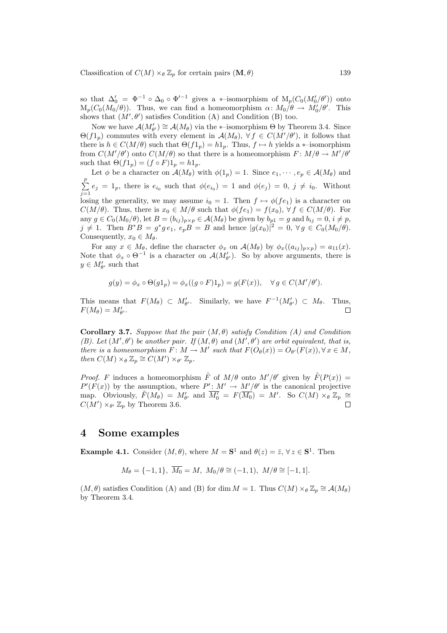Classification of  $C(M) \times_{\theta} \mathbb{Z}_p$  for certain pairs  $(M, \theta)$  139

so that  $\Delta'_0 = \Phi^{-1} \circ \Delta_0 \circ \Phi'^{-1}$  gives a \*-isomorphism of  $M_p(C_0(M'_0/\theta'))$  onto  $M_p(C_0(M_0/\theta))$ . Thus, we can find a homeomorphism  $\alpha \colon M_0/\theta \to M'_0/\theta'$ . This shows that  $(M', \theta')$  satisfies Condition (A) and Condition (B) too.

Now we have  $\mathcal{A}(M'_{\theta'}) \cong \mathcal{A}(M_{\theta})$  via the ∗-isomorphism  $\Theta$  by Theorem 3.4. Since  $\Theta(f1_p)$  commutes with every element in  $\mathcal{A}(M_\theta)$ ,  $\forall f \in C(M'/\theta')$ , it follows that there is  $h \in C(M/\theta)$  such that  $\Theta(f_1) = h_1$ . Thus,  $f \mapsto h$  yields a ∗–isomorphism from  $C(M'/\theta')$  onto  $C(M/\theta)$  so that there is a homeomorphism  $F: M/\theta \to M'/\theta'$ such that  $\Theta(f1_p) = (f \circ F)1_p = h1_p$ .

Let  $\phi$  be a character on  $\mathcal{A}(M_{\theta})$  with  $\phi(1_p) = 1$ . Since  $e_1, \dots, e_p \in \mathcal{A}(M_{\theta})$  and  $\frac{p}{\sqrt{p}}$  $\sum_{j=1}^{\infty} e_j = 1_p$ , there is  $e_{i_0}$  such that  $\phi(e_{i_0}) = 1$  and  $\phi(e_j) = 0, j \neq i_0$ . Without losing the generality, we may assume  $i_0 = 1$ . Then  $f \mapsto \phi(f_{e_1})$  is a character on  $C(M/\theta)$ . Thus, there is  $x_0 \in M/\theta$  such that  $\phi(f_{e_1}) = f(x_0), \forall f \in C(M/\theta)$ . For any  $g \in C_0(M_0/\theta)$ , let  $B = (b_{ij})_{p \times p} \in \mathcal{A}(M_\theta)$  be given by  $b_{p1} = g$  and  $b_{ij} = 0$ ,  $i \neq p$ ,  $j \neq 1$ . Then  $B^*B = g^*g e_1$ ,  $e_p B = B$  and hence  $|g(x_0)|^2 = 0$ ,  $\forall g \in C_0(M_0/\theta)$ . Consequently,  $x_0 \in M_\theta$ .

For any  $x \in M_\theta$ , define the character  $\phi_x$  on  $\mathcal{A}(M_\theta)$  by  $\phi_x((a_{ij})_{p\times p}) = a_{11}(x)$ . Note that  $\phi_x \circ \Theta^{-1}$  is a character on  $\mathcal{A}(M'_{\theta'})$ . So by above arguments, there is  $y \in M'_{\theta'}$  such that

$$
g(y) = \phi_x \circ \Theta(g1_p) = \phi_x((g \circ F)1_p) = g(F(x)), \quad \forall g \in C(M'/\theta').
$$

This means that  $F(M_{\theta}) \subset M'_{\theta'}$ . Similarly, we have  $F^{-1}(M'_{\theta'}) \subset M_{\theta}$ . Thus,  $F(M_{\theta}) = M'_{\theta'}$ .  $\Box$ 

Corollary 3.7. Suppose that the pair  $(M, \theta)$  satisfy Condition (A) and Condition (B). Let  $(M', \theta')$  be another pair. If  $(M, \theta)$  and  $(M', \theta')$  are orbit equivalent, that is, there is a homeomorphism  $F \colon M \to M'$  such that  $F(O_{\theta}(x)) = O_{\theta'}(F(x)), \forall x \in M$ , then  $C(M) \times_{\theta} \mathbb{Z}_p \cong C(M') \times_{\theta'} \mathbb{Z}_p$ .

*Proof.* F induces a homeomorphism  $\tilde{F}$  of  $M/\theta$  onto  $M'/\theta'$  given by  $\tilde{F}(P(x)) =$  $P'(F(x))$  by the assumption, where  $P': M' \to M'/\theta'$  is the canonical projective map. Obviously,  $\tilde{F}(M_{\theta}) = M'_{\theta'}$  and  $\overline{M'_{0}} = F(\overline{M_{0}}) = M'$ . So  $C(M) \times_{\theta} \mathbb{Z}_{p} \cong$  $C(M') \times_{\theta'} \mathbb{Z}_p$  by Theorem 3.6.  $\Box$ 

#### 4 Some examples

**Example 4.1.** Consider  $(M, \theta)$ , where  $M = \mathbf{S}^1$  and  $\theta(z) = \overline{z}$ ,  $\forall z \in \mathbf{S}^1$ . Then

$$
M_{\theta} = \{-1, 1\}, \ \overline{M_0} = M, \ M_0/\theta \cong (-1, 1), \ M/\theta \cong [-1, 1].
$$

 $(M, \theta)$  satisfies Condition (A) and (B) for dim  $M = 1$ . Thus  $C(M) \times_{\theta} \mathbb{Z}_p \cong \mathcal{A}(M_{\theta})$ by Theorem 3.4.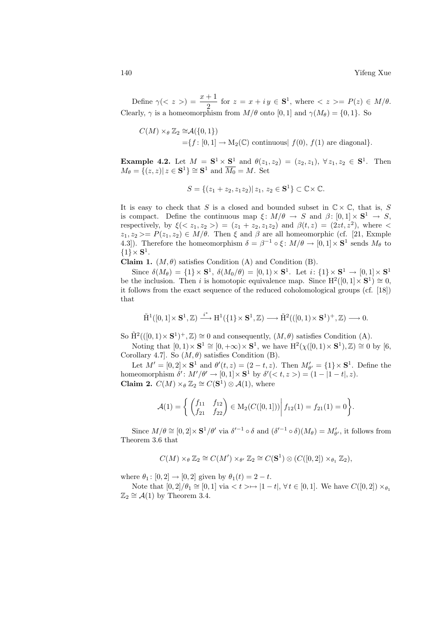Define  $\gamma(\langle z \rangle) = \frac{x+1}{2}$  for  $z = x + iy \in \mathbf{S}^1$ , where  $\langle z \rangle = P(z) \in M/\theta$ . Clearly,  $\gamma$  is a homeomorphism from  $M/\theta$  onto [0, 1] and  $\gamma(M_\theta) = \{0, 1\}$ . So

$$
C(M) \times_{\theta} \mathbb{Z}_2 \cong \mathcal{A}(\{0,1\})
$$
  
=  $\{f: [0,1] \to M_2(\mathbb{C}) \text{ continuous} | f(0), f(1) \text{ are diagonal}\}.$ 

**Example 4.2.** Let  $M = S^1 \times S^1$  and  $\theta(z_1, z_2) = (z_2, z_1), \forall z_1, z_2 \in S^1$ . Then  $M_{\theta} = \{ (z, z) | z \in S^1 \} \cong S^1 \text{ and } \overline{M_0} = M. \text{ Set}$ 

$$
S = \{(z_1 + z_2, z_1 z_2) | z_1, z_2 \in \mathbf{S}^1\} \subset \mathbb{C} \times \mathbb{C}.
$$

It is easy to check that S is a closed and bounded subset in  $\mathbb{C}\times\mathbb{C}$ , that is, S is compact. Define the continuous map  $\xi: M/\theta \to S$  and  $\beta: [0,1] \times S^1 \to S$ , respectively, by  $\xi() = (z_1 + z_2, z_1 z_2)$  and  $\beta(t, z) = (2zt, z^2)$ , where  $\leq$  $z_1, z_2 \ge P(z_1, z_2) \in M/\theta$ . Then  $\xi$  and  $\beta$  are all homeomorphic (cf. [21, Exmple 4.3]). Therefore the homeomorphism  $\delta = \beta^{-1} \circ \xi \colon M/\theta \to [0,1] \times \mathbf{S}^1$  sends  $M_\theta$  to  $\{1\} \times \mathbf{S}^1$ .

Claim 1.  $(M, \theta)$  satisfies Condition (A) and Condition (B).

Since  $\delta(M_{\theta}) = \{1\} \times \mathbf{S}^1$ ,  $\delta(M_0/\theta) = [0,1) \times \mathbf{S}^1$ . Let  $i: \{1\} \times \mathbf{S}^1 \to [0,1] \times \mathbf{S}^1$ be the inclusion. Then i is homotopic equivalence map. Since  $H^2([0,1] \times S^1) \cong 0$ , it follows from the exact sequence of the reduced coholomological groups (cf. [18]) that

$$
\tilde{H}^1([0,1]\times\mathbf{S}^1,\mathbb{Z})\stackrel{i^*}{\longrightarrow} H^1(\{1\}\times\mathbf{S}^1,\mathbb{Z})\longrightarrow \tilde{H}^2(([0,1)\times\mathbf{S}^1)^+,\mathbb{Z})\longrightarrow 0.
$$

So  $\tilde{H}^2((0,1)\times S^1)^+$ ,  $\mathbb{Z})\cong 0$  and consequently,  $(M,\theta)$  satisfies Condition (A).

Noting that  $[0,1)\times S^1 \cong [0,+\infty)\times S^1$ , we have  $H^2(\chi([0,1)\times S^1),\mathbb{Z}) \cong 0$  by [6, Corollary 4.7]. So  $(M, \theta)$  satisfies Condition (B).

Let  $M' = [0, 2] \times \mathbf{S}^1$  and  $\theta'(t, z) = (2 - t, z)$ . Then  $M'_{\theta'} = \{1\} \times \mathbf{S}^1$ . Define the homeomorphism  $\delta' : M'/\theta' \to [0,1] \times \mathbf{S}^1$  by  $\delta'(*t*, *z*) = (1 - |1 - *t*|, *z*).$ **Claim 2.**  $C(M) \times_{\theta} \mathbb{Z}_2 \cong C(\mathbf{S}^1) \otimes \mathcal{A}(1)$ , where

$$
\mathcal{A}(1) = \left\{ \begin{pmatrix} f_{11} & f_{12} \\ f_{21} & f_{22} \end{pmatrix} \in M_2(C([0,1])) \middle| f_{12}(1) = f_{21}(1) = 0 \right\}.
$$

Since  $M/\theta \cong [0,2] \times \mathbf{S}^1/\theta'$  via  $\delta'^{-1} \circ \delta$  and  $(\delta'^{-1} \circ \delta)(M_\theta) = M'_{\theta'}$ , it follows from Theorem 3.6 that

$$
C(M) \times_{\theta} \mathbb{Z}_2 \cong C(M') \times_{\theta'} \mathbb{Z}_2 \cong C(\mathbf{S}^1) \otimes (C([0,2]) \times_{\theta_1} \mathbb{Z}_2),
$$

where  $\theta_1 : [0, 2] \to [0, 2]$  given by  $\theta_1(t) = 2 - t$ .

Note that  $[0, 2]/\theta_1 \cong [0, 1]$  via  $\lt t > \mapsto |1 - t|$ ,  $\forall t \in [0, 1]$ . We have  $C([0, 2]) \times_{\theta_1}$  $\mathbb{Z}_2 \cong \mathcal{A}(1)$  by Theorem 3.4.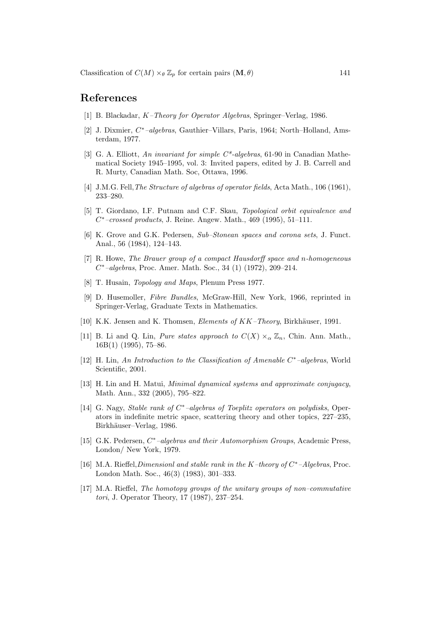## References

- [1] B. Blackadar, K–Theory for Operator Algebras, Springer–Verlag, 1986.
- [2] J. Dixmier,  $C^*$ -algebras, Gauthier-Villars, Paris, 1964; North-Holland, Amsterdam, 1977.
- [3] G. A. Elliott, An invariant for simple  $C^*$ -algebras, 61-90 in Canadian Mathematical Society 1945–1995, vol. 3: Invited papers, edited by J. B. Carrell and R. Murty, Canadian Math. Soc, Ottawa, 1996.
- [4] J.M.G. Fell, *The Structure of algebras of operator fields*, Acta Math., 106 (1961), 233–280.
- [5] T. Giordano, I.F. Putnam and C.F. Skau, Topological orbit equivalence and  $C^*$ -crossed products, J. Reine. Angew. Math., 469 (1995), 51-111.
- [6] K. Grove and G.K. Pedersen, Sub–Stonean spaces and corona sets, J. Funct. Anal., 56 (1984), 124–143.
- [7] R. Howe, The Brauer group of a compact Hausdorff space and n-homogeneous  $C^*$ -algebras, Proc. Amer. Math. Soc., 34 (1) (1972), 209-214.
- [8] T. Husain, Topology and Maps, Plenum Press 1977.
- [9] D. Husemoller, Fibre Bundles, McGraw-Hill, New York, 1966, reprinted in Springer-Verlag, Graduate Texts in Mathematics.
- [10] K.K. Jensen and K. Thomsen, *Elements of KK–Theory*, Birkhäuser, 1991.
- [11] B. Li and Q. Lin, *Pure states approach to*  $C(X) \times_{\alpha} \mathbb{Z}_n$ , Chin. Ann. Math., 16B(1) (1995), 75–86.
- [12] H. Lin, An Introduction to the Classification of Amenable C<sup>\*</sup>-algebras, World Scientific, 2001.
- [13] H. Lin and H. Matui, Minimal dynamical systems and approximate conjugacy, Math. Ann., 332 (2005), 795–822.
- [14] G. Nagy, Stable rank of C<sup>\*</sup>-algebras of Toeplitz operators on polydisks, Operators in indefinite metric space, scattering theory and other topics, 227–235, Birkhäuser–Verlag, 1986.
- [15] G.K. Pedersen,  $C^*$ -algebras and their Automorphism Groups, Academic Press, London/ New York, 1979.
- [16] M.A. Rieffel, Dimensionl and stable rank in the K-theory of  $C^*$ -Algebras, Proc. London Math. Soc., 46(3) (1983), 301–333.
- [17] M.A. Rieffel, The homotopy groups of the unitary groups of non–commutative tori, J. Operator Theory, 17 (1987), 237–254.